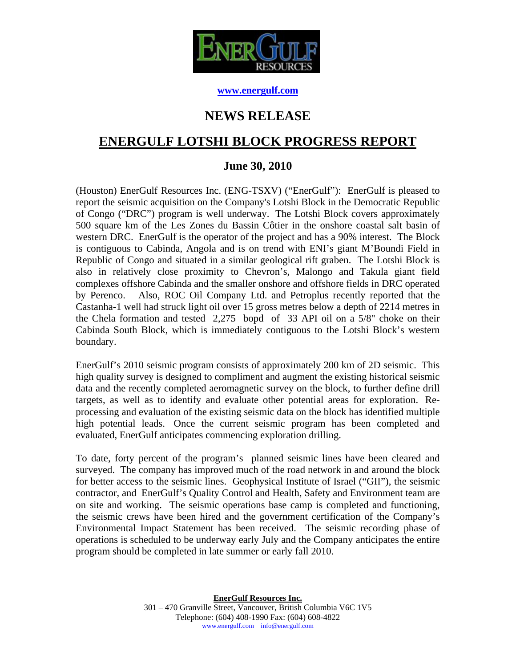

#### **www.energulf.com**

# **NEWS RELEASE**

# **ENERGULF LOTSHI BLOCK PROGRESS REPORT**

### **June 30, 2010**

(Houston) EnerGulf Resources Inc. (ENG-TSXV) ("EnerGulf"): EnerGulf is pleased to report the seismic acquisition on the Company's Lotshi Block in the Democratic Republic of Congo ("DRC") program is well underway. The Lotshi Block covers approximately 500 square km of the Les Zones du Bassin Côtier in the onshore coastal salt basin of western DRC. EnerGulf is the operator of the project and has a 90% interest. The Block is contiguous to Cabinda, Angola and is on trend with ENI's giant M'Boundi Field in Republic of Congo and situated in a similar geological rift graben. The Lotshi Block is also in relatively close proximity to Chevron's, Malongo and Takula giant field complexes offshore Cabinda and the smaller onshore and offshore fields in DRC operated by Perenco. Also, ROC Oil Company Ltd. and Petroplus recently reported that the Castanha-1 well had struck light oil over 15 gross metres below a depth of 2214 metres in the Chela formation and tested 2,275 bopd of 33 API oil on a 5/8" choke on their Cabinda South Block, which is immediately contiguous to the Lotshi Block's western boundary.

EnerGulf's 2010 seismic program consists of approximately 200 km of 2D seismic. This high quality survey is designed to compliment and augment the existing historical seismic data and the recently completed aeromagnetic survey on the block, to further define drill targets, as well as to identify and evaluate other potential areas for exploration. Reprocessing and evaluation of the existing seismic data on the block has identified multiple high potential leads. Once the current seismic program has been completed and evaluated, EnerGulf anticipates commencing exploration drilling.

To date, forty percent of the program's planned seismic lines have been cleared and surveyed. The company has improved much of the road network in and around the block for better access to the seismic lines. Geophysical Institute of Israel ("GII"), the seismic contractor, and EnerGulf's Quality Control and Health, Safety and Environment team are on site and working. The seismic operations base camp is completed and functioning, the seismic crews have been hired and the government certification of the Company's Environmental Impact Statement has been received. The seismic recording phase of operations is scheduled to be underway early July and the Company anticipates the entire program should be completed in late summer or early fall 2010.